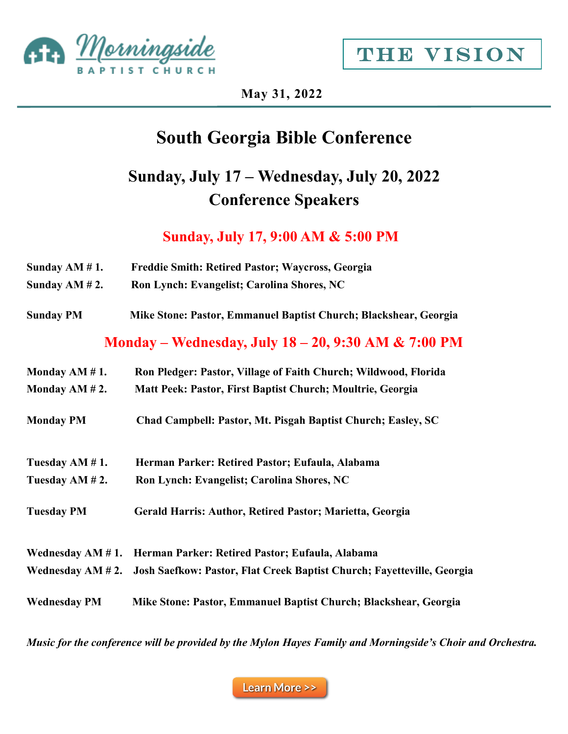



**May 31, 2022**

## **South Georgia Bible Conference**

## **Sunday, July 17 – Wednesday, July 20, 2022 Conference Speakers**

**Sunday, July 17, 9:00 AM & 5:00 PM**

| Sunday $AM # 1$ .   | <b>Freddie Smith: Retired Pastor; Waycross, Georgia</b>                |
|---------------------|------------------------------------------------------------------------|
| Sunday $AM # 2$ .   | Ron Lynch: Evangelist; Carolina Shores, NC                             |
| <b>Sunday PM</b>    | Mike Stone: Pastor, Emmanuel Baptist Church; Blackshear, Georgia       |
|                     | Monday – Wednesday, July 18 – 20, 9:30 AM & 7:00 PM                    |
| Monday AM $# 1$ .   | Ron Pledger: Pastor, Village of Faith Church; Wildwood, Florida        |
| Monday AM $# 2$ .   | Matt Peek: Pastor, First Baptist Church; Moultrie, Georgia             |
| <b>Monday PM</b>    | Chad Campbell: Pastor, Mt. Pisgah Baptist Church; Easley, SC           |
| Tuesday AM #1.      | Herman Parker: Retired Pastor; Eufaula, Alabama                        |
| Tuesday AM # 2.     | Ron Lynch: Evangelist; Carolina Shores, NC                             |
| <b>Tuesday PM</b>   | Gerald Harris: Author, Retired Pastor; Marietta, Georgia               |
| Wednesday $AM # 1.$ | Herman Parker: Retired Pastor; Eufaula, Alabama                        |
| Wednesday $AM # 2.$ | Josh Saefkow: Pastor, Flat Creek Baptist Church; Fayetteville, Georgia |
| <b>Wednesday PM</b> | Mike Stone: Pastor, Emmanuel Baptist Church; Blackshear, Georgia       |

*Music for the conference will be provided by the Mylon Hayes Family and Morningside's Choir and Orchestra.*

**Learn More >>**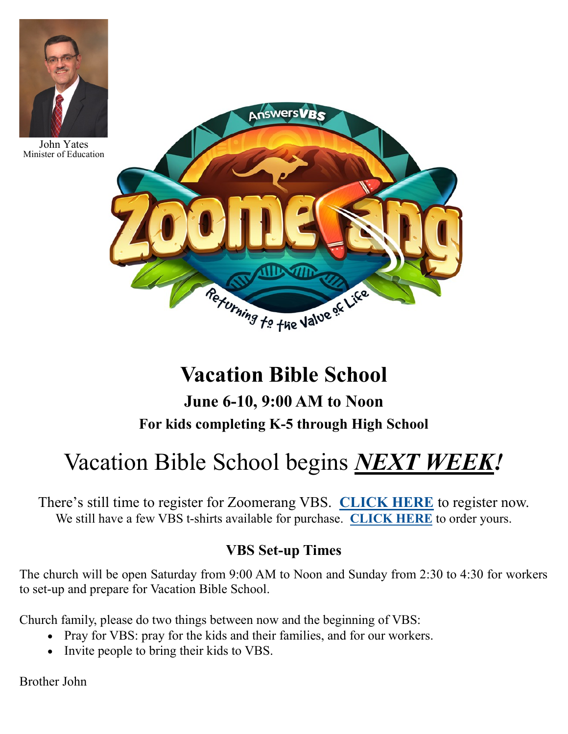

John Yates Minister of Education



# **Vacation Bible School**

**June 6-10, 9:00 AM to Noon For kids completing K-5 through High School**

# Vacation Bible School begins *NEXT WEEK!*

There's still time to register for Zoomerang VBS. **[CLICK HERE](https://morningside.shelbynextchms.com/external/form/bb098452-5295-4db3-aa7f-4ce3ed4f0c70)** to register now. We still have a few VBS t-shirts available for purchase. **[CLICK HERE](https://morningside.shelbynextchms.com/external/form/cb107cec-478c-4e93-b277-20122a3cefdc)** to order yours.

### **VBS Set-up Times**

The church will be open Saturday from 9:00 AM to Noon and Sunday from 2:30 to 4:30 for workers to set-up and prepare for Vacation Bible School.

Church family, please do two things between now and the beginning of VBS:

- Pray for VBS: pray for the kids and their families, and for our workers.
- Invite people to bring their kids to VBS.

Brother John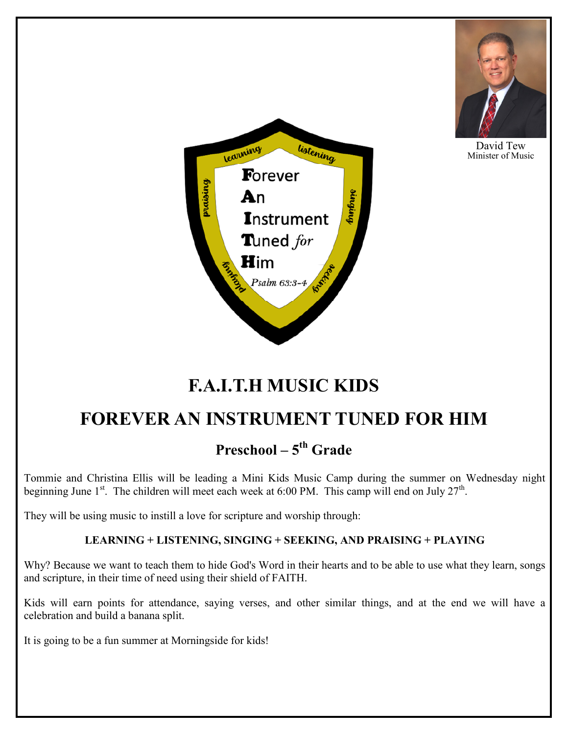

David Tew Minister of Music



## **F.A.I.T.H MUSIC KIDS**

## **FOREVER AN INSTRUMENT TUNED FOR HIM**

## **Preschool – 5 th Grade**

Tommie and Christina Ellis will be leading a Mini Kids Music Camp during the summer on Wednesday night beginning June  $1^{st}$ . The children will meet each week at 6:00 PM. This camp will end on July 27<sup>th</sup>.

They will be using music to instill a love for scripture and worship through:

#### **LEARNING + LISTENING, SINGING + SEEKING, AND PRAISING + PLAYING**

Why? Because we want to teach them to hide God's Word in their hearts and to be able to use what they learn, songs and scripture, in their time of need using their shield of FAITH.

Kids will earn points for attendance, saying verses, and other similar things, and at the end we will have a celebration and build a banana split.

It is going to be a fun summer at Morningside for kids!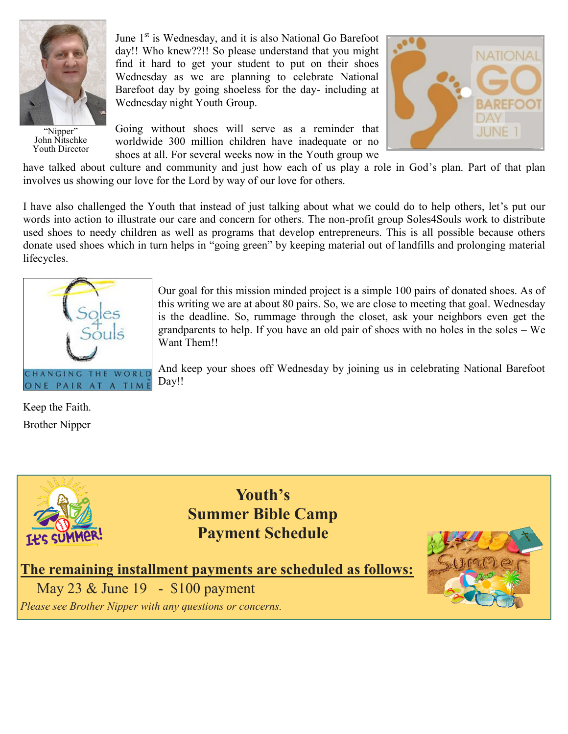

"Nipper" John Nitschke Youth Director

June  $1<sup>st</sup>$  is Wednesday, and it is also National Go Barefoot day!! Who knew??!! So please understand that you might find it hard to get your student to put on their shoes Wednesday as we are planning to celebrate National Barefoot day by going shoeless for the day- including at Wednesday night Youth Group.

Going without shoes will serve as a reminder that worldwide 300 million children have inadequate or no shoes at all. For several weeks now in the Youth group we



have talked about culture and community and just how each of us play a role in God's plan. Part of that plan involves us showing our love for the Lord by way of our love for others.

I have also challenged the Youth that instead of just talking about what we could do to help others, let's put our words into action to illustrate our care and concern for others. The non-profit group Soles4Souls work to distribute used shoes to needy children as well as programs that develop entrepreneurs. This is all possible because others donate used shoes which in turn helps in "going green" by keeping material out of landfills and prolonging material lifecycles.



Our goal for this mission minded project is a simple 100 pairs of donated shoes. As of this writing we are at about 80 pairs. So, we are close to meeting that goal. Wednesday is the deadline. So, rummage through the closet, ask your neighbors even get the grandparents to help. If you have an old pair of shoes with no holes in the soles – We Want Them!!

And keep your shoes off Wednesday by joining us in celebrating National Barefoot Day!!

Keep the Faith. Brother Nipper



**Youth's Summer Bible Camp Payment Schedule**

**The remaining installment payments are scheduled as follows:**

May 23 & June 19 - \$100 payment

*Please see Brother Nipper with any questions or concerns.*